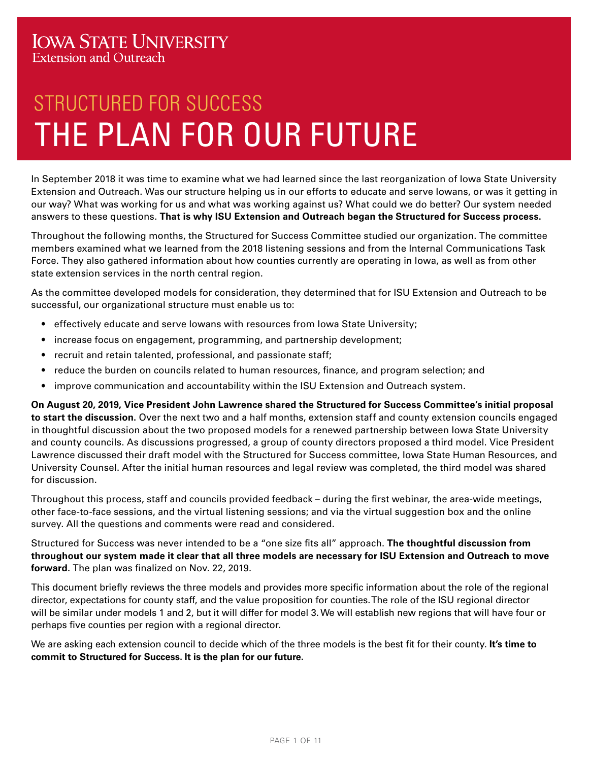# THE PLAN FOR OUR FUTURE STRUCTURED FOR SUCCESS

In September 2018 it was time to examine what we had learned since the last reorganization of Iowa State University Extension and Outreach. Was our structure helping us in our efforts to educate and serve Iowans, or was it getting in our way? What was working for us and what was working against us? What could we do better? Our system needed answers to these questions. **That is why ISU Extension and Outreach began the Structured for Success process.**

Throughout the following months, the Structured for Success Committee studied our organization. The committee members examined what we learned from the 2018 listening sessions and from the Internal Communications Task Force. They also gathered information about how counties currently are operating in Iowa, as well as from other state extension services in the north central region.

As the committee developed models for consideration, they determined that for ISU Extension and Outreach to be successful, our organizational structure must enable us to:

- effectively educate and serve Iowans with resources from Iowa State University;
- increase focus on engagement, programming, and partnership development;
- recruit and retain talented, professional, and passionate staff;
- reduce the burden on councils related to human resources, finance, and program selection; and
- improve communication and accountability within the ISU Extension and Outreach system.

**On August 20, 2019, Vice President John Lawrence shared the Structured for Success Committee's initial proposal to start the discussion.** Over the next two and a half months, extension staff and county extension councils engaged in thoughtful discussion about the two proposed models for a renewed partnership between Iowa State University and county councils. As discussions progressed, a group of county directors proposed a third model. Vice President Lawrence discussed their draft model with the Structured for Success committee, Iowa State Human Resources, and University Counsel. After the initial human resources and legal review was completed, the third model was shared for discussion.

Throughout this process, staff and councils provided feedback – during the first webinar, the area-wide meetings, other face-to-face sessions, and the virtual listening sessions; and via the virtual suggestion box and the online survey. All the questions and comments were read and considered.

Structured for Success was never intended to be a "one size fits all" approach. **The thoughtful discussion from throughout our system made it clear that all three models are necessary for ISU Extension and Outreach to move forward.** The plan was finalized on Nov. 22, 2019.

This document briefly reviews the three models and provides more specific information about the role of the regional director, expectations for county staff, and the value proposition for counties. The role of the ISU regional director will be similar under models 1 and 2, but it will differ for model 3. We will establish new regions that will have four or perhaps five counties per region with a regional director.

We are asking each extension council to decide which of the three models is the best fit for their county. **It's time to commit to Structured for Success. It is the plan for our future.**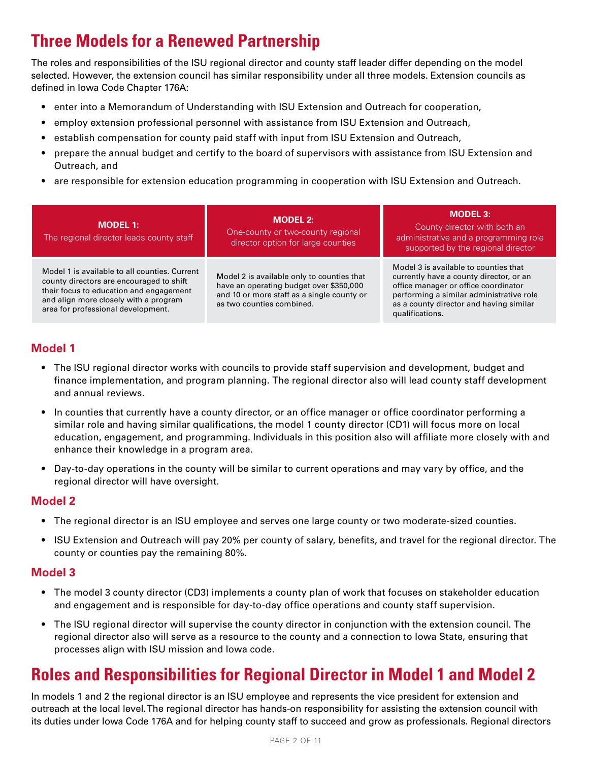# **Three Models for a Renewed Partnership**

The roles and responsibilities of the ISU regional director and county staff leader differ depending on the model selected. However, the extension council has similar responsibility under all three models. Extension councils as defined in Iowa Code Chapter 176A:

- enter into a Memorandum of Understanding with ISU Extension and Outreach for cooperation,
- employ extension professional personnel with assistance from ISU Extension and Outreach,
- establish compensation for county paid staff with input from ISU Extension and Outreach,
- prepare the annual budget and certify to the board of supervisors with assistance from ISU Extension and Outreach, and
- are responsible for extension education programming in cooperation with ISU Extension and Outreach.

| <b>MODEL 1:</b><br>The regional director leads county staff                                                                                                                                                         | <b>MODEL 2:</b><br>One-county or two-county regional<br>director option for large counties                                                                       | MODEL 3:<br>County director with both an<br>administrative and a programming role<br>supported by the regional director                                                                                                            |
|---------------------------------------------------------------------------------------------------------------------------------------------------------------------------------------------------------------------|------------------------------------------------------------------------------------------------------------------------------------------------------------------|------------------------------------------------------------------------------------------------------------------------------------------------------------------------------------------------------------------------------------|
| Model 1 is available to all counties. Current<br>county directors are encouraged to shift<br>their focus to education and engagement<br>and align more closely with a program<br>area for professional development. | Model 2 is available only to counties that<br>have an operating budget over \$350,000<br>and 10 or more staff as a single county or<br>as two counties combined. | Model 3 is available to counties that<br>currently have a county director, or an<br>office manager or office coordinator<br>performing a similar administrative role<br>as a county director and having similar<br>qualifications. |

# **Model 1**

- The ISU regional director works with councils to provide staff supervision and development, budget and finance implementation, and program planning. The regional director also will lead county staff development and annual reviews.
- In counties that currently have a county director, or an office manager or office coordinator performing a similar role and having similar qualifications, the model 1 county director (CD1) will focus more on local education, engagement, and programming. Individuals in this position also will affiliate more closely with and enhance their knowledge in a program area.
- Day-to-day operations in the county will be similar to current operations and may vary by office, and the regional director will have oversight.

### **Model 2**

- The regional director is an ISU employee and serves one large county or two moderate-sized counties.
- ISU Extension and Outreach will pay 20% per county of salary, benefits, and travel for the regional director. The county or counties pay the remaining 80%.

### **Model 3**

- The model 3 county director (CD3) implements a county plan of work that focuses on stakeholder education and engagement and is responsible for day-to-day office operations and county staff supervision.
- The ISU regional director will supervise the county director in conjunction with the extension council. The regional director also will serve as a resource to the county and a connection to Iowa State, ensuring that processes align with ISU mission and Iowa code.

# **Roles and Responsibilities for Regional Director in Model 1 and Model 2**

In models 1 and 2 the regional director is an ISU employee and represents the vice president for extension and outreach at the local level. The regional director has hands-on responsibility for assisting the extension council with its duties under Iowa Code 176A and for helping county staff to succeed and grow as professionals. Regional directors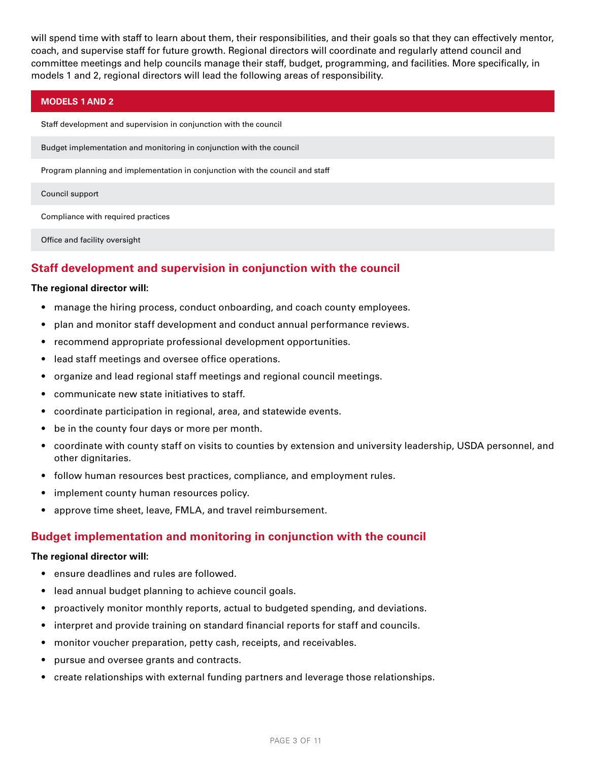will spend time with staff to learn about them, their responsibilities, and their goals so that they can effectively mentor, coach, and supervise staff for future growth. Regional directors will coordinate and regularly attend council and committee meetings and help councils manage their staff, budget, programming, and facilities. More specifically, in models 1 and 2, regional directors will lead the following areas of responsibility.

#### **MODELS 1 AND 2**

Staff development and supervision in conjunction with the council

Budget implementation and monitoring in conjunction with the council

Program planning and implementation in conjunction with the council and staff

#### Council support

Compliance with required practices

Office and facility oversight

### **Staff development and supervision in conjunction with the council**

#### **The regional director will:**

- manage the hiring process, conduct onboarding, and coach county employees.
- plan and monitor staff development and conduct annual performance reviews.
- recommend appropriate professional development opportunities.
- lead staff meetings and oversee office operations.
- organize and lead regional staff meetings and regional council meetings.
- communicate new state initiatives to staff.
- coordinate participation in regional, area, and statewide events.
- be in the county four days or more per month.
- coordinate with county staff on visits to counties by extension and university leadership, USDA personnel, and other dignitaries.
- follow human resources best practices, compliance, and employment rules.
- implement county human resources policy.
- approve time sheet, leave, FMLA, and travel reimbursement.

#### **Budget implementation and monitoring in conjunction with the council**

#### **The regional director will:**

- ensure deadlines and rules are followed.
- lead annual budget planning to achieve council goals.
- proactively monitor monthly reports, actual to budgeted spending, and deviations.
- interpret and provide training on standard financial reports for staff and councils.
- monitor voucher preparation, petty cash, receipts, and receivables.
- pursue and oversee grants and contracts.
- create relationships with external funding partners and leverage those relationships.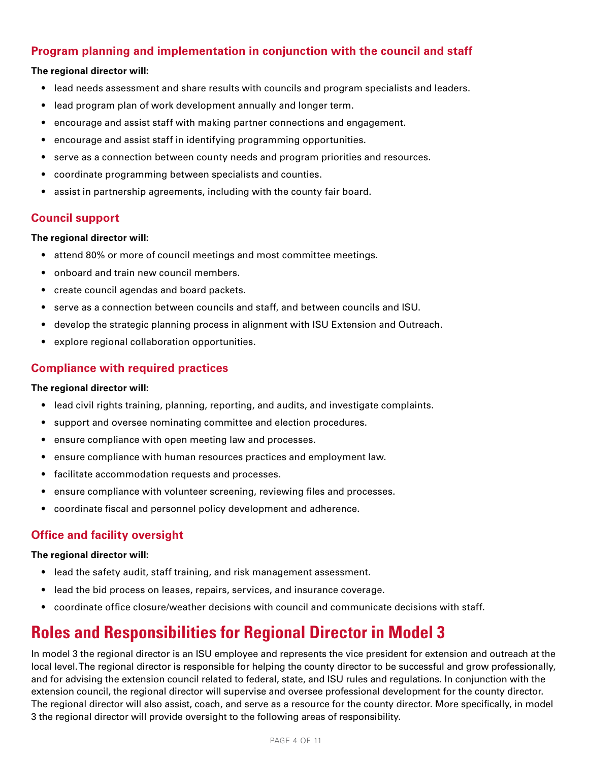# **Program planning and implementation in conjunction with the council and staff**

### **The regional director will:**

- lead needs assessment and share results with councils and program specialists and leaders.
- lead program plan of work development annually and longer term.
- encourage and assist staff with making partner connections and engagement.
- encourage and assist staff in identifying programming opportunities.
- serve as a connection between county needs and program priorities and resources.
- coordinate programming between specialists and counties.
- assist in partnership agreements, including with the county fair board.

### **Council support**

#### **The regional director will:**

- attend 80% or more of council meetings and most committee meetings.
- onboard and train new council members.
- create council agendas and board packets.
- serve as a connection between councils and staff, and between councils and ISU.
- develop the strategic planning process in alignment with ISU Extension and Outreach.
- explore regional collaboration opportunities.

### **Compliance with required practices**

#### **The regional director will:**

- lead civil rights training, planning, reporting, and audits, and investigate complaints.
- support and oversee nominating committee and election procedures.
- ensure compliance with open meeting law and processes.
- ensure compliance with human resources practices and employment law.
- facilitate accommodation requests and processes.
- ensure compliance with volunteer screening, reviewing files and processes.
- coordinate fiscal and personnel policy development and adherence.

# **Office and facility oversight**

#### **The regional director will:**

- lead the safety audit, staff training, and risk management assessment.
- lead the bid process on leases, repairs, services, and insurance coverage.
- coordinate office closure/weather decisions with council and communicate decisions with staff.

# **Roles and Responsibilities for Regional Director in Model 3**

In model 3 the regional director is an ISU employee and represents the vice president for extension and outreach at the local level. The regional director is responsible for helping the county director to be successful and grow professionally, and for advising the extension council related to federal, state, and ISU rules and regulations. In conjunction with the extension council, the regional director will supervise and oversee professional development for the county director. The regional director will also assist, coach, and serve as a resource for the county director. More specifically, in model 3 the regional director will provide oversight to the following areas of responsibility.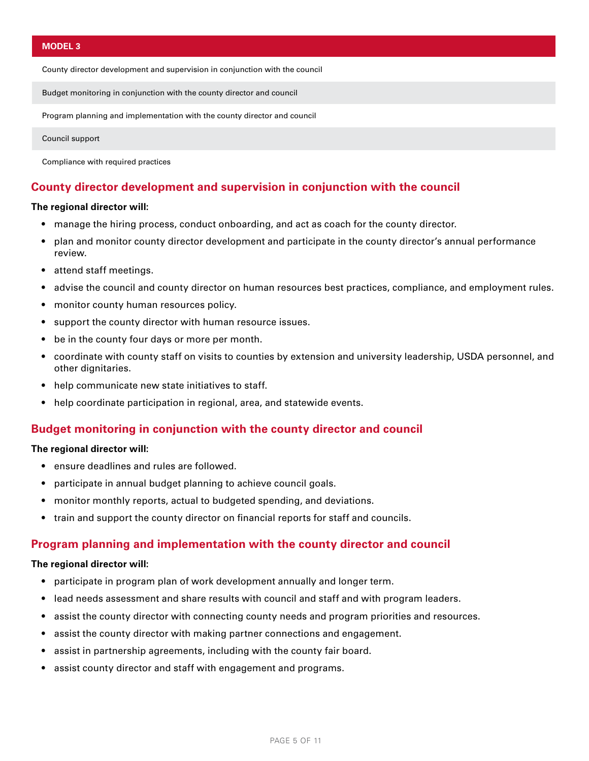County director development and supervision in conjunction with the council

Budget monitoring in conjunction with the county director and council

Program planning and implementation with the county director and council

Council support

Compliance with required practices

### **County director development and supervision in conjunction with the council**

#### **The regional director will:**

- manage the hiring process, conduct onboarding, and act as coach for the county director.
- plan and monitor county director development and participate in the county director's annual performance review.
- attend staff meetings.
- advise the council and county director on human resources best practices, compliance, and employment rules.
- monitor county human resources policy.
- support the county director with human resource issues.
- be in the county four days or more per month.
- coordinate with county staff on visits to counties by extension and university leadership, USDA personnel, and other dignitaries.
- help communicate new state initiatives to staff.
- help coordinate participation in regional, area, and statewide events.

#### **Budget monitoring in conjunction with the county director and council**

#### **The regional director will:**

- ensure deadlines and rules are followed.
- participate in annual budget planning to achieve council goals.
- monitor monthly reports, actual to budgeted spending, and deviations.
- train and support the county director on financial reports for staff and councils.

#### **Program planning and implementation with the county director and council**

#### **The regional director will:**

- participate in program plan of work development annually and longer term.
- lead needs assessment and share results with council and staff and with program leaders.
- assist the county director with connecting county needs and program priorities and resources.
- assist the county director with making partner connections and engagement.
- assist in partnership agreements, including with the county fair board.
- assist county director and staff with engagement and programs.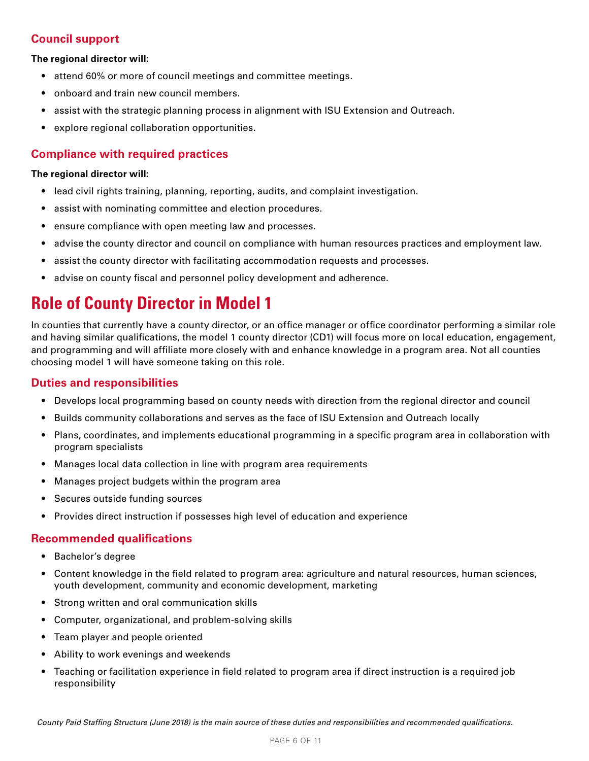### **Council support**

#### **The regional director will:**

- attend 60% or more of council meetings and committee meetings.
- onboard and train new council members.
- assist with the strategic planning process in alignment with ISU Extension and Outreach.
- explore regional collaboration opportunities.

### **Compliance with required practices**

#### **The regional director will:**

- lead civil rights training, planning, reporting, audits, and complaint investigation.
- assist with nominating committee and election procedures.
- ensure compliance with open meeting law and processes.
- advise the county director and council on compliance with human resources practices and employment law.
- assist the county director with facilitating accommodation requests and processes.
- advise on county fiscal and personnel policy development and adherence.

# **Role of County Director in Model 1**

In counties that currently have a county director, or an office manager or office coordinator performing a similar role and having similar qualifications, the model 1 county director (CD1) will focus more on local education, engagement, and programming and will affiliate more closely with and enhance knowledge in a program area. Not all counties choosing model 1 will have someone taking on this role.

### **Duties and responsibilities**

- Develops local programming based on county needs with direction from the regional director and council
- Builds community collaborations and serves as the face of ISU Extension and Outreach locally
- Plans, coordinates, and implements educational programming in a specific program area in collaboration with program specialists
- Manages local data collection in line with program area requirements
- Manages project budgets within the program area
- Secures outside funding sources
- Provides direct instruction if possesses high level of education and experience

### **Recommended qualifications**

- Bachelor's degree
- Content knowledge in the field related to program area: agriculture and natural resources, human sciences, youth development, community and economic development, marketing
- Strong written and oral communication skills
- Computer, organizational, and problem-solving skills
- Team player and people oriented
- Ability to work evenings and weekends
- Teaching or facilitation experience in field related to program area if direct instruction is a required job responsibility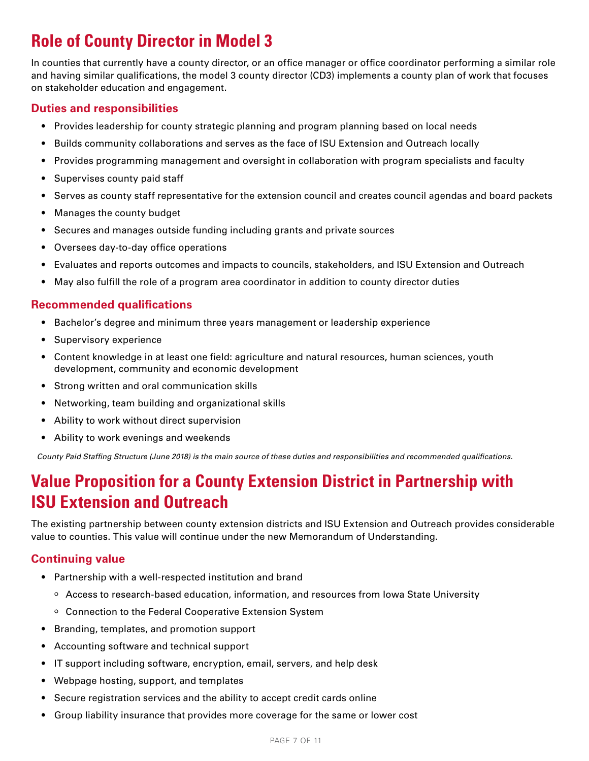# **Role of County Director in Model 3**

In counties that currently have a county director, or an office manager or office coordinator performing a similar role and having similar qualifications, the model 3 county director (CD3) implements a county plan of work that focuses on stakeholder education and engagement.

### **Duties and responsibilities**

- Provides leadership for county strategic planning and program planning based on local needs
- Builds community collaborations and serves as the face of ISU Extension and Outreach locally
- Provides programming management and oversight in collaboration with program specialists and faculty
- Supervises county paid staff
- Serves as county staff representative for the extension council and creates council agendas and board packets
- Manages the county budget
- Secures and manages outside funding including grants and private sources
- Oversees day-to-day office operations
- Evaluates and reports outcomes and impacts to councils, stakeholders, and ISU Extension and Outreach
- May also fulfill the role of a program area coordinator in addition to county director duties

### **Recommended qualifications**

- Bachelor's degree and minimum three years management or leadership experience
- Supervisory experience
- Content knowledge in at least one field: agriculture and natural resources, human sciences, youth development, community and economic development
- Strong written and oral communication skills
- Networking, team building and organizational skills
- Ability to work without direct supervision
- Ability to work evenings and weekends

*County Paid Staffing Structure (June 2018) is the main source of these duties and responsibilities and recommended qualifications.*

# **Value Proposition for a County Extension District in Partnership with ISU Extension and Outreach**

The existing partnership between county extension districts and ISU Extension and Outreach provides considerable value to counties. This value will continue under the new Memorandum of Understanding.

# **Continuing value**

- Partnership with a well-respected institution and brand
	- $\circ$  Access to research-based education, information, and resources from Iowa State University
	- Connection to the Federal Cooperative Extension System
- Branding, templates, and promotion support
- Accounting software and technical support
- IT support including software, encryption, email, servers, and help desk
- Webpage hosting, support, and templates
- Secure registration services and the ability to accept credit cards online
- Group liability insurance that provides more coverage for the same or lower cost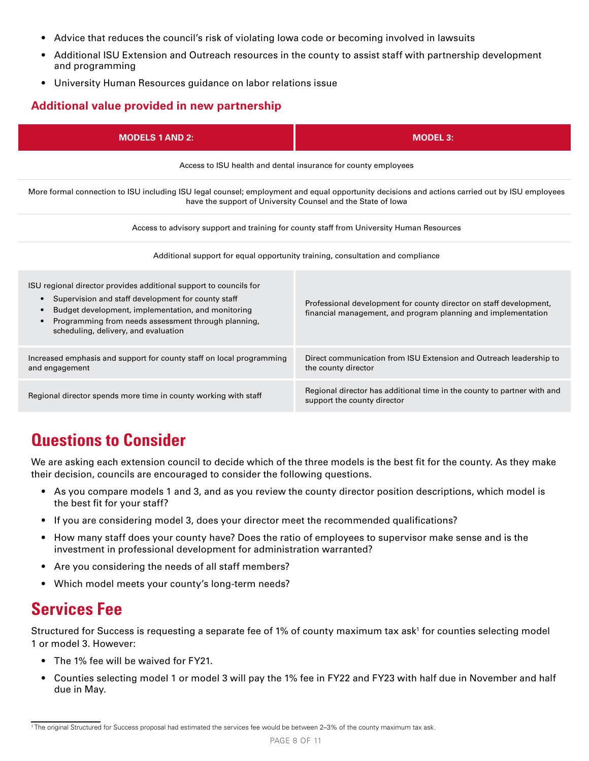- Advice that reduces the council's risk of violating Iowa code or becoming involved in lawsuits
- Additional ISU Extension and Outreach resources in the county to assist staff with partnership development and programming
- University Human Resources guidance on labor relations issue

# **Additional value provided in new partnership**

| <b>MODELS 1 AND 2:</b>                                                                                                                                                                                                                                                                                 | $MODEL$ 3:                                                                                                                          |  |  |  |  |
|--------------------------------------------------------------------------------------------------------------------------------------------------------------------------------------------------------------------------------------------------------------------------------------------------------|-------------------------------------------------------------------------------------------------------------------------------------|--|--|--|--|
| Access to ISU health and dental insurance for county employees                                                                                                                                                                                                                                         |                                                                                                                                     |  |  |  |  |
| More formal connection to ISU including ISU legal counsel; employment and equal opportunity decisions and actions carried out by ISU employees<br>have the support of University Counsel and the State of lowa                                                                                         |                                                                                                                                     |  |  |  |  |
| Access to advisory support and training for county staff from University Human Resources                                                                                                                                                                                                               |                                                                                                                                     |  |  |  |  |
| Additional support for equal opportunity training, consultation and compliance                                                                                                                                                                                                                         |                                                                                                                                     |  |  |  |  |
| ISU regional director provides additional support to councils for<br>Supervision and staff development for county staff<br>$\bullet$<br>Budget development, implementation, and monitoring<br>$\bullet$<br>Programming from needs assessment through planning,<br>scheduling, delivery, and evaluation | Professional development for county director on staff development,<br>financial management, and program planning and implementation |  |  |  |  |
| Increased emphasis and support for county staff on local programming<br>and engagement                                                                                                                                                                                                                 | Direct communication from ISU Extension and Outreach leadership to<br>the county director                                           |  |  |  |  |
| Regional director spends more time in county working with staff                                                                                                                                                                                                                                        | Regional director has additional time in the county to partner with and<br>support the county director                              |  |  |  |  |

# **Questions to Consider**

We are asking each extension council to decide which of the three models is the best fit for the county. As they make their decision, councils are encouraged to consider the following questions.

- As you compare models 1 and 3, and as you review the county director position descriptions, which model is the best fit for your staff?
- If you are considering model 3, does your director meet the recommended qualifications?
- How many staff does your county have? Does the ratio of employees to supervisor make sense and is the investment in professional development for administration warranted?
- Are you considering the needs of all staff members?
- Which model meets your county's long-term needs?

# **Services Fee**

Structured for Success is requesting a separate fee of 1% of county maximum tax ask<sup>1</sup> for counties selecting model 1 or model 3. However:

- The 1% fee will be waived for FY21.
- Counties selecting model 1 or model 3 will pay the 1% fee in FY22 and FY23 with half due in November and half due in May.

<sup>1</sup> The original Structured for Success proposal had estimated the services fee would be between 2–3% of the county maximum tax ask.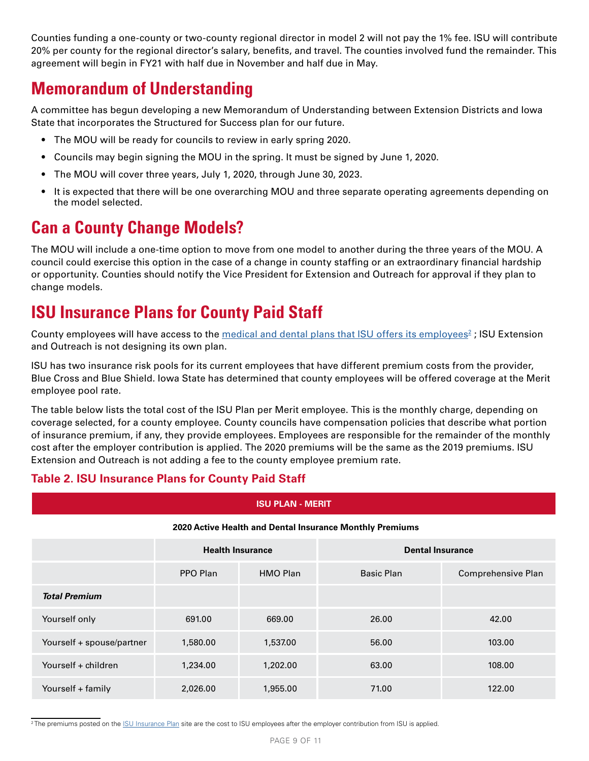Counties funding a one-county or two-county regional director in model 2 will not pay the 1% fee. ISU will contribute 20% per county for the regional director's salary, benefits, and travel. The counties involved fund the remainder. This agreement will begin in FY21 with half due in November and half due in May.

# **Memorandum of Understanding**

A committee has begun developing a new Memorandum of Understanding between Extension Districts and Iowa State that incorporates the Structured for Success plan for our future.

- The MOU will be ready for councils to review in early spring 2020.
- Councils may begin signing the MOU in the spring. It must be signed by June 1, 2020.
- The MOU will cover three years, July 1, 2020, through June 30, 2023.
- It is expected that there will be one overarching MOU and three separate operating agreements depending on the model selected.

# **Can a County Change Models?**

The MOU will include a one-time option to move from one model to another during the three years of the MOU. A council could exercise this option in the case of a change in county staffing or an extraordinary financial hardship or opportunity. Counties should notify the Vice President for Extension and Outreach for approval if they plan to change models.

# **ISU Insurance Plans for County Paid Staff**

County employees will have access to the <u>[medical and dental plans that ISU offers its employees](https://www.hr.iastate.edu/benefits/insurance)<sup>2</sup> ; ISU Extension</u> and Outreach is not designing its own plan.

ISU has two insurance risk pools for its current employees that have different premium costs from the provider, Blue Cross and Blue Shield. Iowa State has determined that county employees will be offered coverage at the Merit employee pool rate.

The table below lists the total cost of the ISU Plan per Merit employee. This is the monthly charge, depending on coverage selected, for a county employee. County councils have compensation policies that describe what portion of insurance premium, if any, they provide employees. Employees are responsible for the remainder of the monthly cost after the employer contribution is applied. The 2020 premiums will be the same as the 2019 premiums. ISU Extension and Outreach is not adding a fee to the county employee premium rate.

### **Table 2. ISU Insurance Plans for County Paid Staff**

### **ISU PLAN - MERIT**

#### **2020 Active Health and Dental Insurance Monthly Premiums**

|                           | <b>Health Insurance</b> |          | <b>Dental Insurance</b> |                    |
|---------------------------|-------------------------|----------|-------------------------|--------------------|
|                           | PPO Plan                | HMO Plan | Basic Plan              | Comprehensive Plan |
| <b>Total Premium</b>      |                         |          |                         |                    |
| Yourself only             | 691.00                  | 669.00   | 26.00                   | 42.00              |
| Yourself + spouse/partner | 1,580.00                | 1,537.00 | 56.00                   | 103.00             |
| Yourself + children       | 1,234.00                | 1,202.00 | 63.00                   | 108.00             |
| Yourself + family         | 2,026.00                | 1,955.00 | 71.00                   | 122.00             |

<sup>2</sup> The premiums posted on the <u>ISU Insurance Plan</u> site are the cost to ISU employees after the employer contribution from ISU is applied.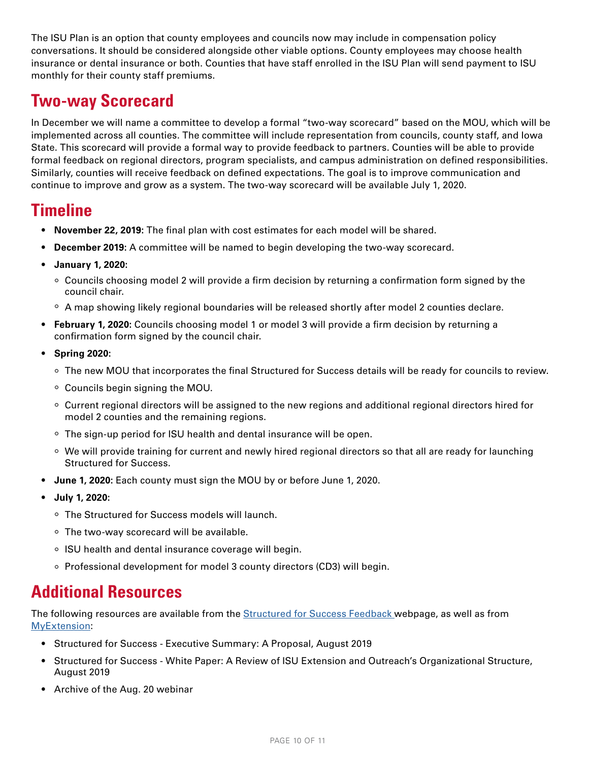The ISU Plan is an option that county employees and councils now may include in compensation policy conversations. It should be considered alongside other viable options. County employees may choose health insurance or dental insurance or both. Counties that have staff enrolled in the ISU Plan will send payment to ISU monthly for their county staff premiums.

# **Two-way Scorecard**

In December we will name a committee to develop a formal "two-way scorecard" based on the MOU, which will be implemented across all counties. The committee will include representation from councils, county staff, and Iowa State. This scorecard will provide a formal way to provide feedback to partners. Counties will be able to provide formal feedback on regional directors, program specialists, and campus administration on defined responsibilities. Similarly, counties will receive feedback on defined expectations. The goal is to improve communication and continue to improve and grow as a system. The two-way scorecard will be available July 1, 2020.

# **Timeline**

- **• November 22, 2019:** The final plan with cost estimates for each model will be shared.
- **• December 2019:** A committee will be named to begin developing the two-way scorecard.
- **• January 1, 2020:**
	- Councils choosing model 2 will provide a firm decision by returning a confirmation form signed by the council chair.
	- $\degree$  A map showing likely regional boundaries will be released shortly after model 2 counties declare.
- **• February 1, 2020:** Councils choosing model 1 or model 3 will provide a firm decision by returning a confirmation form signed by the council chair.
- **• Spring 2020:**
	- The new MOU that incorporates the final Structured for Success details will be ready for councils to review.
	- Councils begin signing the MOU.
	- $\circ$  Current regional directors will be assigned to the new regions and additional regional directors hired for model 2 counties and the remaining regions.
	- The sign-up period for ISU health and dental insurance will be open.
	- We will provide training for current and newly hired regional directors so that all are ready for launching Structured for Success.
- **• June 1, 2020:** Each county must sign the MOU by or before June 1, 2020.
- **• July 1, 2020:**
	- The Structured for Success models will launch.
	- $\circ$  The two-way scorecard will be available.
	- o ISU health and dental insurance coverage will begin.
	- Professional development for model 3 county directors (CD3) will begin.

# **Additional Resources**

The following resources are available from the [Structured for Success Feedback w](https://www.extension.iastate.edu/countyservices/structured-success-feedback)ebpage, as well as from [MyExtension](https://my.extension.iastate.edu/structured-success):

- Structured for Success Executive Summary: A Proposal, August 2019
- Structured for Success White Paper: A Review of ISU Extension and Outreach's Organizational Structure, August 2019
- Archive of the Aug. 20 webinar